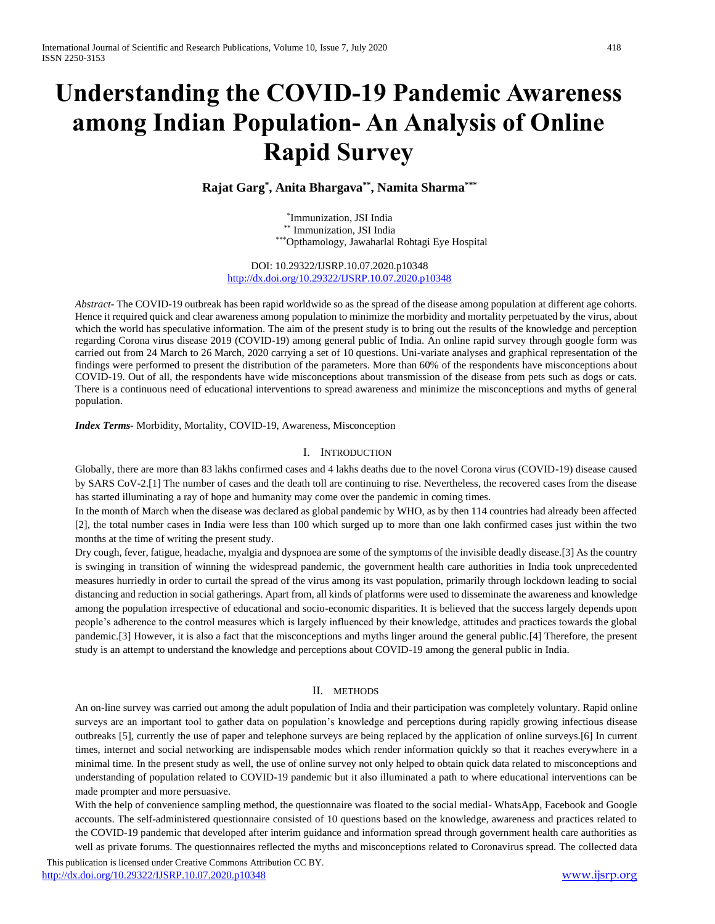# **Understanding the COVID-19 Pandemic Awareness among Indian Population- An Analysis of Online Rapid Survey**

**Rajat Garg\* , Anita Bhargava\*\*, Namita Sharma\*\*\***

\* Immunization, JSI India \*\* Immunization, JSI India \*\*\*Opthamology, Jawaharlal Rohtagi Eye Hospital

DOI: 10.29322/IJSRP.10.07.2020.p10348 <http://dx.doi.org/10.29322/IJSRP.10.07.2020.p10348>

*Abstract-* The COVID-19 outbreak has been rapid worldwide so as the spread of the disease among population at different age cohorts. Hence it required quick and clear awareness among population to minimize the morbidity and mortality perpetuated by the virus, about which the world has speculative information. The aim of the present study is to bring out the results of the knowledge and perception regarding Corona virus disease 2019 (COVID-19) among general public of India. An online rapid survey through google form was carried out from 24 March to 26 March, 2020 carrying a set of 10 questions. Uni-variate analyses and graphical representation of the findings were performed to present the distribution of the parameters. More than 60% of the respondents have misconceptions about COVID-19. Out of all, the respondents have wide misconceptions about transmission of the disease from pets such as dogs or cats. There is a continuous need of educational interventions to spread awareness and minimize the misconceptions and myths of general population.

*Index Terms-* Morbidity, Mortality, COVID-19, Awareness, Misconception

#### I. INTRODUCTION

Globally, there are more than 83 lakhs confirmed cases and 4 lakhs deaths due to the novel Corona virus (COVID-19) disease caused by SARS CoV-2.[1] The number of cases and the death toll are continuing to rise. Nevertheless, the recovered cases from the disease has started illuminating a ray of hope and humanity may come over the pandemic in coming times.

In the month of March when the disease was declared as global pandemic by WHO, as by then 114 countries had already been affected [2], the total number cases in India were less than 100 which surged up to more than one lakh confirmed cases just within the two months at the time of writing the present study.

Dry cough, fever, fatigue, headache, myalgia and dyspnoea are some of the symptoms of the invisible deadly disease.[3] As the country is swinging in transition of winning the widespread pandemic, the government health care authorities in India took unprecedented measures hurriedly in order to curtail the spread of the virus among its vast population, primarily through lockdown leading to social distancing and reduction in social gatherings. Apart from, all kinds of platforms were used to disseminate the awareness and knowledge among the population irrespective of educational and socio-economic disparities. It is believed that the success largely depends upon people's adherence to the control measures which is largely influenced by their knowledge, attitudes and practices towards the global pandemic.[3] However, it is also a fact that the misconceptions and myths linger around the general public.[4] Therefore, the present study is an attempt to understand the knowledge and perceptions about COVID-19 among the general public in India.

#### II. METHODS

An on-line survey was carried out among the adult population of India and their participation was completely voluntary. Rapid online surveys are an important tool to gather data on population's knowledge and perceptions during rapidly growing infectious disease outbreaks [5], currently the use of paper and telephone surveys are being replaced by the application of online surveys.[6] In current times, internet and social networking are indispensable modes which render information quickly so that it reaches everywhere in a minimal time. In the present study as well, the use of online survey not only helped to obtain quick data related to misconceptions and understanding of population related to COVID-19 pandemic but it also illuminated a path to where educational interventions can be made prompter and more persuasive.

With the help of convenience sampling method, the questionnaire was floated to the social medial- WhatsApp, Facebook and Google accounts. The self-administered questionnaire consisted of 10 questions based on the knowledge, awareness and practices related to the COVID-19 pandemic that developed after interim guidance and information spread through government health care authorities as well as private forums. The questionnaires reflected the myths and misconceptions related to Coronavirus spread. The collected data

 This publication is licensed under Creative Commons Attribution CC BY. <http://dx.doi.org/10.29322/IJSRP.10.07.2020.p10348> [www.ijsrp.org](http://ijsrp.org/)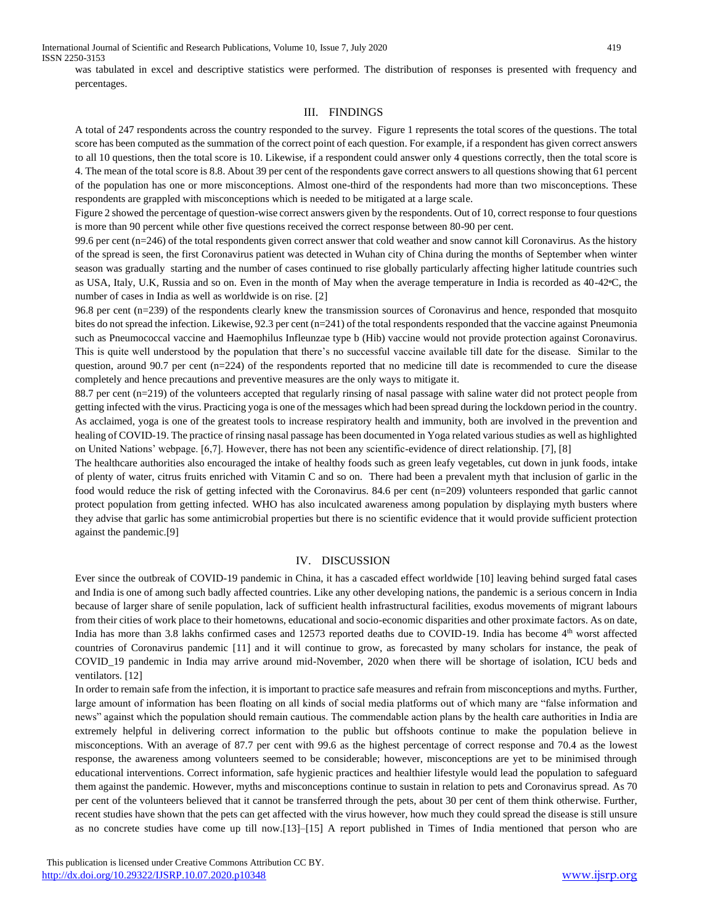was tabulated in excel and descriptive statistics were performed. The distribution of responses is presented with frequency and percentages.

## III. FINDINGS

A total of 247 respondents across the country responded to the survey. Figure 1 represents the total scores of the questions. The total score has been computed as the summation of the correct point of each question. For example, if a respondent has given correct answers to all 10 questions, then the total score is 10. Likewise, if a respondent could answer only 4 questions correctly, then the total score is 4. The mean of the total score is 8.8. About 39 per cent of the respondents gave correct answers to all questions showing that 61 percent of the population has one or more misconceptions. Almost one-third of the respondents had more than two misconceptions. These respondents are grappled with misconceptions which is needed to be mitigated at a large scale.

Figure 2 showed the percentage of question-wise correct answers given by the respondents. Out of 10, correct response to four questions is more than 90 percent while other five questions received the correct response between 80-90 per cent.

99.6 per cent (n=246) of the total respondents given correct answer that cold weather and snow cannot kill Coronavirus. As the history of the spread is seen, the first Coronavirus patient was detected in Wuhan city of China during the months of September when winter season was gradually starting and the number of cases continued to rise globally particularly affecting higher latitude countries such as USA, Italy, U.K, Russia and so on. Even in the month of May when the average temperature in India is recorded as 40-42**ᵒ**C, the number of cases in India as well as worldwide is on rise. [2]

96.8 per cent (n=239) of the respondents clearly knew the transmission sources of Coronavirus and hence, responded that mosquito bites do not spread the infection. Likewise, 92.3 per cent (n=241) of the total respondents responded that the vaccine against Pneumonia such as Pneumococcal vaccine and Haemophilus Infleunzae type b (Hib) vaccine would not provide protection against Coronavirus. This is quite well understood by the population that there's no successful vaccine available till date for the disease. Similar to the question, around 90.7 per cent (n=224) of the respondents reported that no medicine till date is recommended to cure the disease completely and hence precautions and preventive measures are the only ways to mitigate it.

88.7 per cent (n=219) of the volunteers accepted that regularly rinsing of nasal passage with saline water did not protect people from getting infected with the virus. Practicing yoga is one of the messages which had been spread during the lockdown period in the country. As acclaimed, yoga is one of the greatest tools to increase respiratory health and immunity, both are involved in the prevention and healing of COVID-19. The practice of rinsing nasal passage has been documented in Yoga related various studies as well as highlighted on United Nations' webpage. [6,7]. However, there has not been any scientific-evidence of direct relationship. [7], [8]

The healthcare authorities also encouraged the intake of healthy foods such as green leafy vegetables, cut down in junk foods, intake of plenty of water, citrus fruits enriched with Vitamin C and so on. There had been a prevalent myth that inclusion of garlic in the food would reduce the risk of getting infected with the Coronavirus. 84.6 per cent (n=209) volunteers responded that garlic cannot protect population from getting infected. WHO has also inculcated awareness among population by displaying myth busters where they advise that garlic has some antimicrobial properties but there is no scientific evidence that it would provide sufficient protection against the pandemic.[9]

#### IV. DISCUSSION

Ever since the outbreak of COVID-19 pandemic in China, it has a cascaded effect worldwide [10] leaving behind surged fatal cases and India is one of among such badly affected countries. Like any other developing nations, the pandemic is a serious concern in India because of larger share of senile population, lack of sufficient health infrastructural facilities, exodus movements of migrant labours from their cities of work place to their hometowns, educational and socio-economic disparities and other proximate factors. As on date, India has more than 3.8 lakhs confirmed cases and 12573 reported deaths due to COVID-19. India has become  $4<sup>th</sup>$  worst affected countries of Coronavirus pandemic [11] and it will continue to grow, as forecasted by many scholars for instance, the peak of COVID\_19 pandemic in India may arrive around mid-November, 2020 when there will be shortage of isolation, ICU beds and ventilators. [12]

In order to remain safe from the infection, it is important to practice safe measures and refrain from misconceptions and myths. Further, large amount of information has been floating on all kinds of social media platforms out of which many are "false information and news" against which the population should remain cautious. The commendable action plans by the health care authorities in India are extremely helpful in delivering correct information to the public but offshoots continue to make the population believe in misconceptions. With an average of 87.7 per cent with 99.6 as the highest percentage of correct response and 70.4 as the lowest response, the awareness among volunteers seemed to be considerable; however, misconceptions are yet to be minimised through educational interventions. Correct information, safe hygienic practices and healthier lifestyle would lead the population to safeguard them against the pandemic. However, myths and misconceptions continue to sustain in relation to pets and Coronavirus spread. As 70 per cent of the volunteers believed that it cannot be transferred through the pets, about 30 per cent of them think otherwise. Further, recent studies have shown that the pets can get affected with the virus however, how much they could spread the disease is still unsure as no concrete studies have come up till now.[13]–[15] A report published in Times of India mentioned that person who are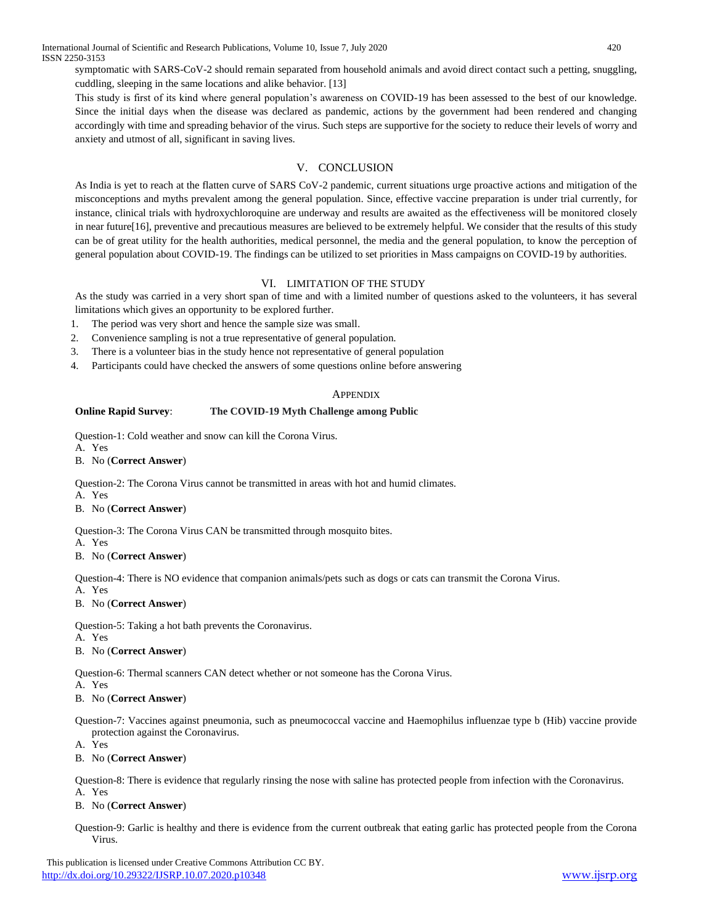symptomatic with SARS-CoV-2 should remain separated from household animals and avoid direct contact such a petting, snuggling, cuddling, sleeping in the same locations and alike behavior. [13]

This study is first of its kind where general population's awareness on COVID-19 has been assessed to the best of our knowledge. Since the initial days when the disease was declared as pandemic, actions by the government had been rendered and changing accordingly with time and spreading behavior of the virus. Such steps are supportive for the society to reduce their levels of worry and anxiety and utmost of all, significant in saving lives.

# V. CONCLUSION

As India is yet to reach at the flatten curve of SARS CoV-2 pandemic, current situations urge proactive actions and mitigation of the misconceptions and myths prevalent among the general population. Since, effective vaccine preparation is under trial currently, for instance, clinical trials with hydroxychloroquine are underway and results are awaited as the effectiveness will be monitored closely in near future[16], preventive and precautious measures are believed to be extremely helpful. We consider that the results of this study can be of great utility for the health authorities, medical personnel, the media and the general population, to know the perception of general population about COVID-19. The findings can be utilized to set priorities in Mass campaigns on COVID-19 by authorities.

## VI. LIMITATION OF THE STUDY

As the study was carried in a very short span of time and with a limited number of questions asked to the volunteers, it has several limitations which gives an opportunity to be explored further.

- 1. The period was very short and hence the sample size was small.
- 2. Convenience sampling is not a true representative of general population.
- 3. There is a volunteer bias in the study hence not representative of general population
- 4. Participants could have checked the answers of some questions online before answering

#### **APPENDIX**

## **Online Rapid Survey**: **The COVID-19 Myth Challenge among Public**

Question-1: Cold weather and snow can kill the Corona Virus.

- A. Yes
- B. No (**Correct Answer**)

Question-2: The Corona Virus cannot be transmitted in areas with hot and humid climates.

A. Yes

## B. No (**Correct Answer**)

Question-3: The Corona Virus CAN be transmitted through mosquito bites.

A. Yes

## B. No (**Correct Answer**)

Question-4: There is NO evidence that companion animals/pets such as dogs or cats can transmit the Corona Virus.

A. Yes

## B. No (**Correct Answer**)

Question-5: Taking a hot bath prevents the Coronavirus. A. Yes

## B. No (**Correct Answer**)

Question-6: Thermal scanners CAN detect whether or not someone has the Corona Virus.

A. Yes

## B. No (**Correct Answer**)

Question-7: Vaccines against pneumonia, such as pneumococcal vaccine and Haemophilus influenzae type b (Hib) vaccine provide protection against the Coronavirus.

A. Yes

## B. No (**Correct Answer**)

Question-8: There is evidence that regularly rinsing the nose with saline has protected people from infection with the Coronavirus. A. Yes

## B. No (**Correct Answer**)

Question-9: Garlic is healthy and there is evidence from the current outbreak that eating garlic has protected people from the Corona Virus.

 This publication is licensed under Creative Commons Attribution CC BY. <http://dx.doi.org/10.29322/IJSRP.10.07.2020.p10348> [www.ijsrp.org](http://ijsrp.org/)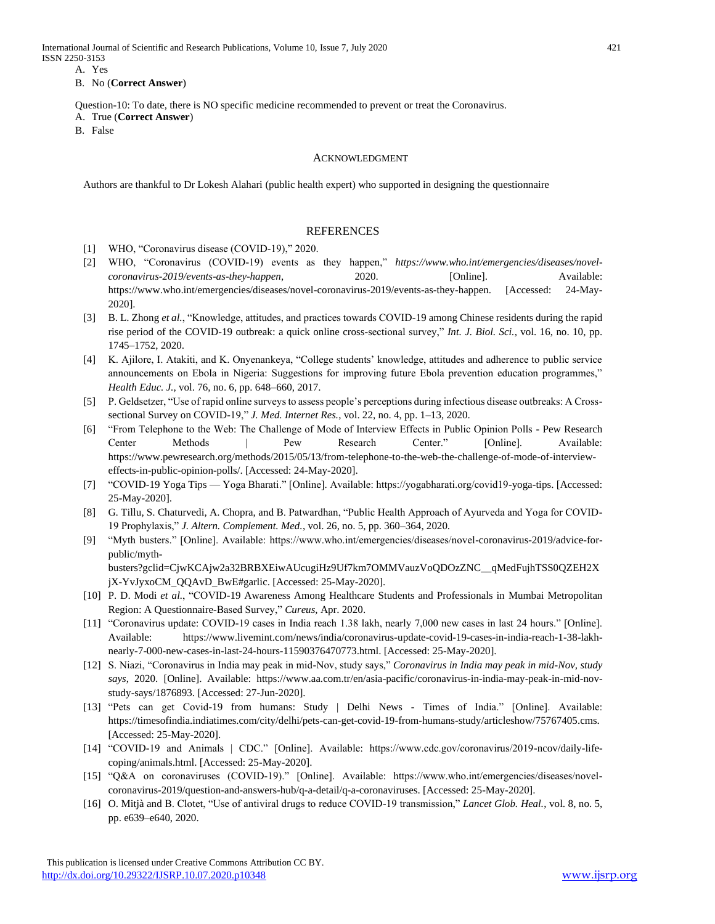International Journal of Scientific and Research Publications, Volume 10, Issue 7, July 2020 421 ISSN 2250-3153

A. Yes

#### B. No (**Correct Answer**)

Question-10: To date, there is NO specific medicine recommended to prevent or treat the Coronavirus.

A. True (**Correct Answer**)

B. False

#### ACKNOWLEDGMENT

Authors are thankful to Dr Lokesh Alahari (public health expert) who supported in designing the questionnaire

## REFERENCES

- [1] WHO, "Coronavirus disease (COVID-19)," 2020.
- [2] WHO, "Coronavirus (COVID-19) events as they happen," *https://www.who.int/emergencies/diseases/novelcoronavirus-2019/events-as-they-happen*, 2020. [Online]. Available: https://www.who.int/emergencies/diseases/novel-coronavirus-2019/events-as-they-happen. [Accessed: 24-May-2020].
- [3] B. L. Zhong *et al.*, "Knowledge, attitudes, and practices towards COVID-19 among Chinese residents during the rapid rise period of the COVID-19 outbreak: a quick online cross-sectional survey," *Int. J. Biol. Sci.*, vol. 16, no. 10, pp. 1745–1752, 2020.
- [4] K. Ajilore, I. Atakiti, and K. Onyenankeya, "College students' knowledge, attitudes and adherence to public service announcements on Ebola in Nigeria: Suggestions for improving future Ebola prevention education programmes," *Health Educ. J.*, vol. 76, no. 6, pp. 648–660, 2017.
- [5] P. Geldsetzer, "Use of rapid online surveys to assess people's perceptions during infectious disease outbreaks: A Crosssectional Survey on COVID-19," *J. Med. Internet Res.*, vol. 22, no. 4, pp. 1–13, 2020.
- [6] "From Telephone to the Web: The Challenge of Mode of Interview Effects in Public Opinion Polls Pew Research Center Methods | Pew Research Center." [Online]. Available: https://www.pewresearch.org/methods/2015/05/13/from-telephone-to-the-web-the-challenge-of-mode-of-intervieweffects-in-public-opinion-polls/. [Accessed: 24-May-2020].
- [7] "COVID-19 Yoga Tips Yoga Bharati." [Online]. Available: https://yogabharati.org/covid19-yoga-tips. [Accessed: 25-May-2020].
- [8] G. Tillu, S. Chaturvedi, A. Chopra, and B. Patwardhan, "Public Health Approach of Ayurveda and Yoga for COVID-19 Prophylaxis," *J. Altern. Complement. Med.*, vol. 26, no. 5, pp. 360–364, 2020.
- [9] "Myth busters." [Online]. Available: https://www.who.int/emergencies/diseases/novel-coronavirus-2019/advice-forpublic/mythbusters?gclid=CjwKCAjw2a32BRBXEiwAUcugiHz9Uf7km7OMMVauzVoQDOzZNC\_\_qMedFujhTSS0QZEH2X jX-YvJyxoCM\_QQAvD\_BwE#garlic. [Accessed: 25-May-2020].
- [10] P. D. Modi *et al.*, "COVID-19 Awareness Among Healthcare Students and Professionals in Mumbai Metropolitan Region: A Questionnaire-Based Survey," *Cureus*, Apr. 2020.
- [11] "Coronavirus update: COVID-19 cases in India reach 1.38 lakh, nearly 7,000 new cases in last 24 hours." [Online]. Available: https://www.livemint.com/news/india/coronavirus-update-covid-19-cases-in-india-reach-1-38-lakhnearly-7-000-new-cases-in-last-24-hours-11590376470773.html. [Accessed: 25-May-2020].
- [12] S. Niazi, "Coronavirus in India may peak in mid-Nov, study says," *Coronavirus in India may peak in mid-Nov, study says*, 2020. [Online]. Available: https://www.aa.com.tr/en/asia-pacific/coronavirus-in-india-may-peak-in-mid-novstudy-says/1876893. [Accessed: 27-Jun-2020].
- [13] "Pets can get Covid-19 from humans: Study | Delhi News Times of India." [Online]. Available: https://timesofindia.indiatimes.com/city/delhi/pets-can-get-covid-19-from-humans-study/articleshow/75767405.cms. [Accessed: 25-May-2020].
- [14] "COVID-19 and Animals | CDC." [Online]. Available: https://www.cdc.gov/coronavirus/2019-ncov/daily-lifecoping/animals.html. [Accessed: 25-May-2020].
- [15] "Q&A on coronaviruses (COVID-19)." [Online]. Available: https://www.who.int/emergencies/diseases/novelcoronavirus-2019/question-and-answers-hub/q-a-detail/q-a-coronaviruses. [Accessed: 25-May-2020].
- [16] O. Mitjà and B. Clotet, "Use of antiviral drugs to reduce COVID-19 transmission," *Lancet Glob. Heal.*, vol. 8, no. 5, pp. e639–e640, 2020.